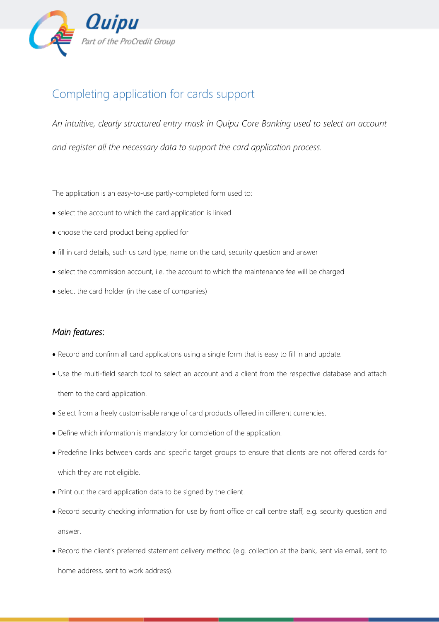

## Completing application for cards support

*An intuitive, clearly structured entry mask in Quipu Core Banking used to select an account and register all the necessary data to support the card application process.*

The application is an easy-to-use partly-completed form used to:

- select the account to which the card application is linked
- choose the card product being applied for
- fill in card details, such us card type, name on the card, security question and answer
- select the commission account, i.e. the account to which the maintenance fee will be charged
- select the card holder (in the case of companies)

## *Main features*:

- Record and confirm all card applications using a single form that is easy to fill in and update.
- Use the multi-field search tool to select an account and a client from the respective database and attach them to the card application.
- Select from a freely customisable range of card products offered in different currencies.
- Define which information is mandatory for completion of the application.
- Predefine links between cards and specific target groups to ensure that clients are not offered cards for which they are not eligible.
- Print out the card application data to be signed by the client.
- Record security checking information for use by front office or call centre staff, e.g. security question and answer.
- Record the client's preferred statement delivery method (e.g. collection at the bank, sent via email, sent to home address, sent to work address).